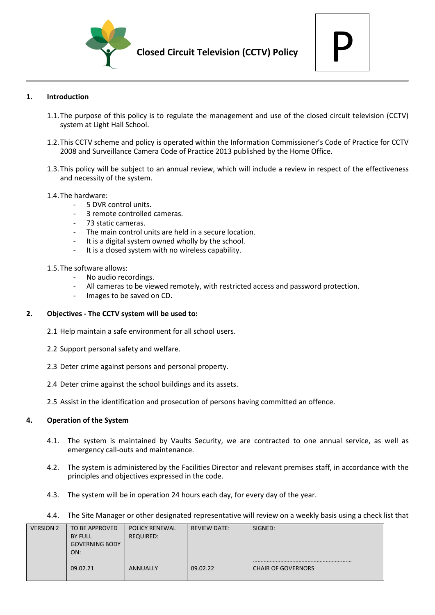



## **1. Introduction**

- 1.1.The purpose of this policy is to regulate the management and use of the closed circuit television (CCTV) system at Light Hall School.
- 1.2.This CCTV scheme and policy is operated within the Information Commissioner's Code of Practice for CCTV 2008 and Surveillance Camera Code of Practice 2013 published by the Home Office.
- 1.3.This policy will be subject to an annual review, which will include a review in respect of the effectiveness and necessity of the system.
- 1.4.The hardware:
	- 5 DVR control units.
	- 3 remote controlled cameras.
	- 73 static cameras.
	- The main control units are held in a secure location.
	- It is a digital system owned wholly by the school.
	- It is a closed system with no wireless capability.
- 1.5.The software allows:
	- No audio recordings.
	- All cameras to be viewed remotely, with restricted access and password protection.
	- Images to be saved on CD.

#### **2. Objectives - The CCTV system will be used to:**

- 2.1 Help maintain a safe environment for all school users.
- 2.2 Support personal safety and welfare.
- 2.3 Deter crime against persons and personal property.
- 2.4 Deter crime against the school buildings and its assets.
- 2.5 Assist in the identification and prosecution of persons having committed an offence.

#### **4. Operation of the System**

- 4.1. The system is maintained by Vaults Security, we are contracted to one annual service, as well as emergency call-outs and maintenance.
- 4.2. The system is administered by the Facilities Director and relevant premises staff, in accordance with the principles and objectives expressed in the code.
- 4.3. The system will be in operation 24 hours each day, for every day of the year.
- 4.4. The Site Manager or other designated representative will review on a weekly basis using a check list that

| <b>VERSION 2</b> | TO BE APPROVED<br><b>BY FULL</b><br><b>GOVERNING BODY</b><br>ON: | <b>POLICY RENEWAL</b><br>REQUIRED: | <b>REVIEW DATE:</b> | SIGNED:                   |
|------------------|------------------------------------------------------------------|------------------------------------|---------------------|---------------------------|
|                  | 09.02.21                                                         | <b>ANNUALLY</b>                    | 09.02.22            | <b>CHAIR OF GOVERNORS</b> |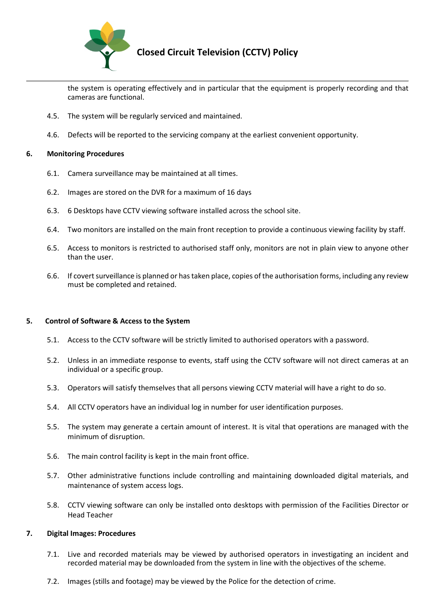

# **Closed Circuit Television (CCTV) Policy**

the system is operating effectively and in particular that the equipment is properly recording and that cameras are functional.

- 4.5. The system will be regularly serviced and maintained.
- 4.6. Defects will be reported to the servicing company at the earliest convenient opportunity.

#### **6. Monitoring Procedures**

- 6.1. Camera surveillance may be maintained at all times.
- 6.2. Images are stored on the DVR for a maximum of 16 days
- 6.3. 6 Desktops have CCTV viewing software installed across the school site.
- 6.4. Two monitors are installed on the main front reception to provide a continuous viewing facility by staff.
- 6.5. Access to monitors is restricted to authorised staff only, monitors are not in plain view to anyone other than the user.
- 6.6. If covert surveillance is planned or has taken place, copies of the authorisation forms, including any review must be completed and retained.

#### **5. Control of Software & Access to the System**

- 5.1. Access to the CCTV software will be strictly limited to authorised operators with a password.
- 5.2. Unless in an immediate response to events, staff using the CCTV software will not direct cameras at an individual or a specific group.
- 5.3. Operators will satisfy themselves that all persons viewing CCTV material will have a right to do so.
- 5.4. All CCTV operators have an individual log in number for user identification purposes.
- 5.5. The system may generate a certain amount of interest. It is vital that operations are managed with the minimum of disruption.
- 5.6. The main control facility is kept in the main front office.
- 5.7. Other administrative functions include controlling and maintaining downloaded digital materials, and maintenance of system access logs.
- 5.8. CCTV viewing software can only be installed onto desktops with permission of the Facilities Director or Head Teacher

#### **7. Digital Images: Procedures**

- 7.1. Live and recorded materials may be viewed by authorised operators in investigating an incident and recorded material may be downloaded from the system in line with the objectives of the scheme.
- 7.2. Images (stills and footage) may be viewed by the Police for the detection of crime.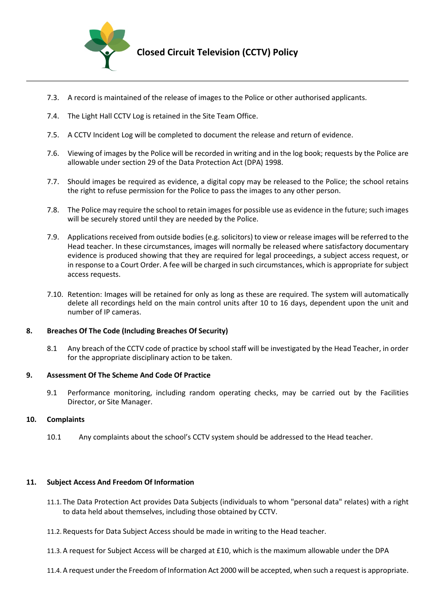

- 7.3. A record is maintained of the release of images to the Police or other authorised applicants.
- 7.4. The Light Hall CCTV Log is retained in the Site Team Office.
- 7.5. A CCTV Incident Log will be completed to document the release and return of evidence.
- 7.6. Viewing of images by the Police will be recorded in writing and in the log book; requests by the Police are allowable under section 29 of the Data Protection Act (DPA) 1998.
- 7.7. Should images be required as evidence, a digital copy may be released to the Police; the school retains the right to refuse permission for the Police to pass the images to any other person.
- 7.8. The Police may require the school to retain images for possible use as evidence in the future; such images will be securely stored until they are needed by the Police.
- 7.9. Applications received from outside bodies (e.g. solicitors) to view or release images will be referred to the Head teacher. In these circumstances, images will normally be released where satisfactory documentary evidence is produced showing that they are required for legal proceedings, a subject access request, or in response to a Court Order. A fee will be charged in such circumstances, which is appropriate for subject access requests.
- 7.10. Retention: Images will be retained for only as long as these are required. The system will automatically delete all recordings held on the main control units after 10 to 16 days, dependent upon the unit and number of IP cameras.

#### **8. Breaches Of The Code (Including Breaches Of Security)**

8.1 Any breach of the CCTV code of practice by school staff will be investigated by the Head Teacher, in order for the appropriate disciplinary action to be taken.

#### **9. Assessment Of The Scheme And Code Of Practice**

9.1 Performance monitoring, including random operating checks, may be carried out by the Facilities Director, or Site Manager.

#### **10. Complaints**

10.1 Any complaints about the school's CCTV system should be addressed to the Head teacher.

#### **11. Subject Access And Freedom Of Information**

- 11.1. The Data Protection Act provides Data Subjects (individuals to whom "personal data" relates) with a right to data held about themselves, including those obtained by CCTV.
- 11.2. Requests for Data Subject Access should be made in writing to the Head teacher.
- 11.3.A request for Subject Access will be charged at £10, which is the maximum allowable under the DPA
- 11.4.A request under the Freedom of Information Act 2000 will be accepted, when such a request is appropriate.